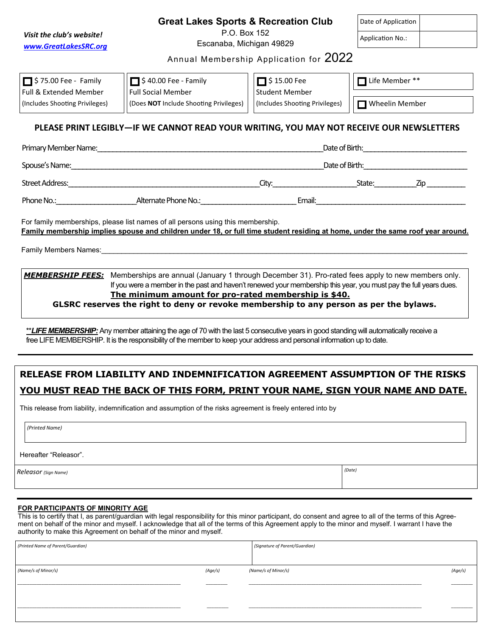|                                                                                                                                                                                                                                                                                                                                                                                                  | <b>Great Lakes Sports &amp; Recreation Club</b>                                                                                                                                                                                                                 | Date of Application                                     |                |  |  |  |
|--------------------------------------------------------------------------------------------------------------------------------------------------------------------------------------------------------------------------------------------------------------------------------------------------------------------------------------------------------------------------------------------------|-----------------------------------------------------------------------------------------------------------------------------------------------------------------------------------------------------------------------------------------------------------------|---------------------------------------------------------|----------------|--|--|--|
| Visit the club's website!                                                                                                                                                                                                                                                                                                                                                                        | P.O. Box 152<br>Escanaba, Michigan 49829                                                                                                                                                                                                                        | <b>Application No.:</b>                                 |                |  |  |  |
| www.GreatLakesSRC.org<br>Annual Membership Application for 2022                                                                                                                                                                                                                                                                                                                                  |                                                                                                                                                                                                                                                                 |                                                         |                |  |  |  |
| $\Box$ \$ 75.00 Fee - Family                                                                                                                                                                                                                                                                                                                                                                     | $\Box$ \$40.00 Fee - Family                                                                                                                                                                                                                                     | $\Box$ \$15.00 Fee                                      | Life Member ** |  |  |  |
| Full & Extended Member<br>(Includes Shooting Privileges)                                                                                                                                                                                                                                                                                                                                         | <b>Full Social Member</b><br>(Does NOT Include Shooting Privileges)                                                                                                                                                                                             | <b>Student Member</b><br>(Includes Shooting Privileges) | Wheelin Member |  |  |  |
|                                                                                                                                                                                                                                                                                                                                                                                                  | PLEASE PRINT LEGIBLY-IF WE CANNOT READ YOUR WRITING, YOU MAY NOT RECEIVE OUR NEWSLETTERS                                                                                                                                                                        |                                                         |                |  |  |  |
|                                                                                                                                                                                                                                                                                                                                                                                                  |                                                                                                                                                                                                                                                                 |                                                         |                |  |  |  |
|                                                                                                                                                                                                                                                                                                                                                                                                  |                                                                                                                                                                                                                                                                 |                                                         |                |  |  |  |
|                                                                                                                                                                                                                                                                                                                                                                                                  |                                                                                                                                                                                                                                                                 |                                                         |                |  |  |  |
|                                                                                                                                                                                                                                                                                                                                                                                                  | Phone No.: Alternate Phone No.: Email: Email:                                                                                                                                                                                                                   |                                                         |                |  |  |  |
|                                                                                                                                                                                                                                                                                                                                                                                                  | For family memberships, please list names of all persons using this membership.<br>Family membership implies spouse and children under 18, or full time student residing at home, under the same roof year around.                                              |                                                         |                |  |  |  |
| <b>MEMBERSHIP FEES:</b> Memberships are annual (January 1 through December 31). Pro-rated fees apply to new members only.<br>If you were a member in the past and haven't renewed your membership this year, you must pay the full years dues.<br>The minimum amount for pro-rated membership is \$40.<br>GLSRC reserves the right to deny or revoke membership to any person as per the bylaws. |                                                                                                                                                                                                                                                                 |                                                         |                |  |  |  |
|                                                                                                                                                                                                                                                                                                                                                                                                  | **LIFE MEMBERSHIP: Any member attaining the age of 70 with the last 5 consecutive years in good standing will automatically receive a<br>free LIFE MEMBERSHIP. It is the responsibility of the member to keep your address and personal information up to date. |                                                         |                |  |  |  |
|                                                                                                                                                                                                                                                                                                                                                                                                  |                                                                                                                                                                                                                                                                 |                                                         |                |  |  |  |

This release from liability, indemnification and assumption of the risks agreement is freely entered into by

*(Printed Name)* 

Hereafter "Releasor".

*Releasor (Sign Name) (Date)* 

**FOR PARTICIPANTS OF MINORITY AGE** This is to certify that I, as parent/guardian with legal responsibility for this minor participant, do consent and agree to all of the terms of this Agreement on behalf of the minor and myself. I acknowledge that all of the terms of this Agreement apply to the minor and myself. I warrant I have the authority to make this Agreement on behalf of the minor and myself.

| (Printed Name of Parent/Guardian) |         | (Signature of Parent/Guardian) |         |
|-----------------------------------|---------|--------------------------------|---------|
|                                   |         |                                |         |
| (Name/s of Minor/s)               | (Age/s) | (Name/s of Minor/s)            | (Age/s) |
|                                   |         |                                |         |
|                                   |         |                                |         |
|                                   |         |                                |         |
|                                   |         |                                |         |